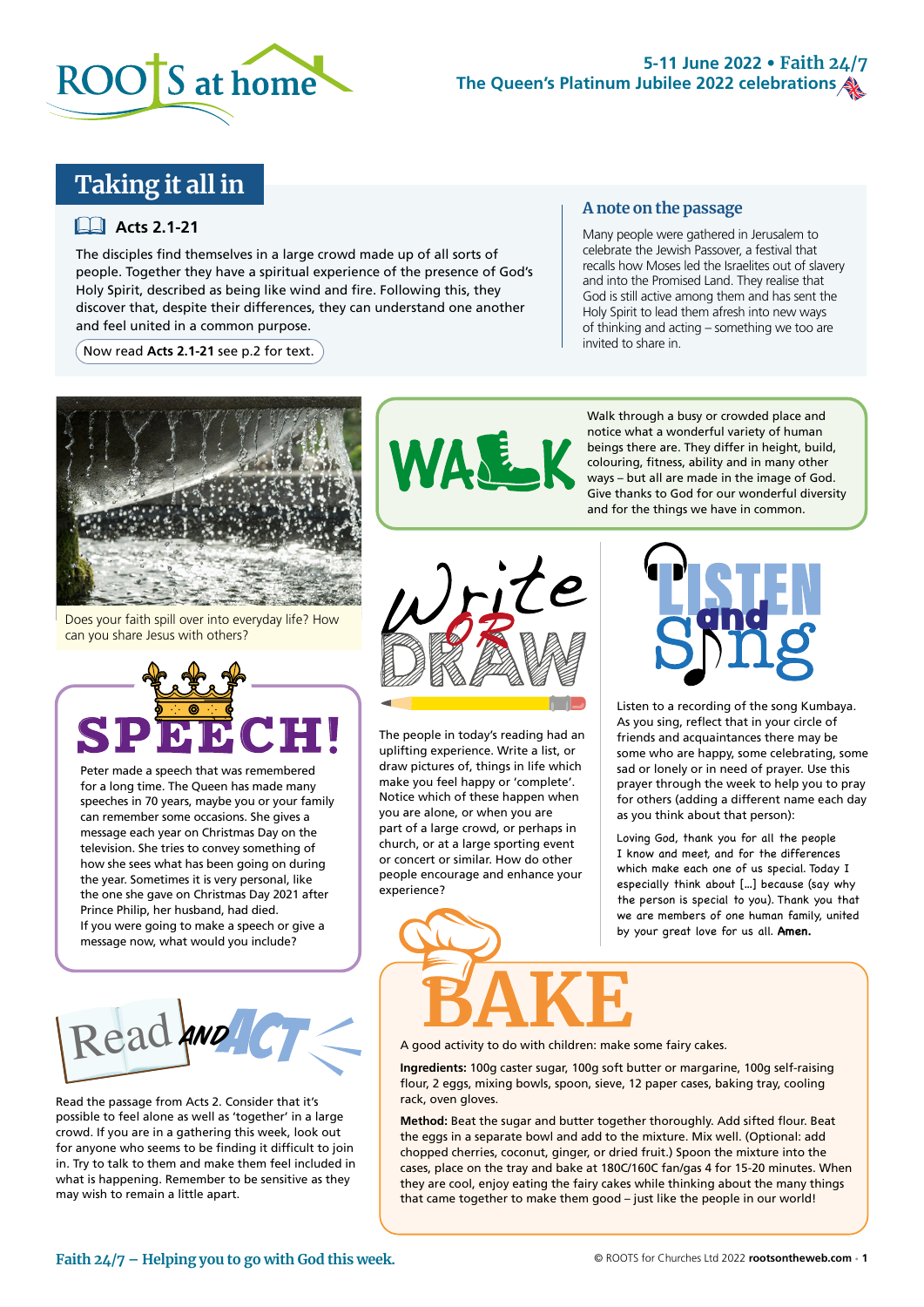

### **5-11 June 2022 • Faith 24/7 The Queen's Platinum Jubilee 2022 celebrations**

## **Taking it all in**

#### **Acts 2.1-21**

The disciples find themselves in a large crowd made up of all sorts of people. Together they have a spiritual experience of the presence of God's Holy Spirit, described as being like wind and fire. Following this, they discover that, despite their differences, they can understand one another and feel united in a common purpose.

 $\left(\right.$  Now read **Acts 2.1-21** see p.2 for text.  $\left.\right)$ 

#### **A note on the passage**

Many people were gathered in Jerusalem to celebrate the Jewish Passover, a festival that recalls how Moses led the Israelites out of slavery and into the Promised Land. They realise that God is still active among them and has sent the Holy Spirit to lead them afresh into new ways of thinking and acting – something we too are invited to share in.



Does your faith spill over into everyday life? How can you share Jesus with others?



Peter made a speech that was remembered for a long time. The Queen has made many speeches in 70 years, maybe you or your family can remember some occasions. She gives a message each year on Christmas Day on the television. She tries to convey something of how she sees what has been going on during the year. Sometimes it is very personal, like the one she gave on Christmas Day 2021 after Prince Philip, her husband, had died. If you were going to make a speech or give a message now, what would you include?



Read the passage from Acts 2. Consider that it's possible to feel alone as well as 'together' in a large crowd. If you are in a gathering this week, look out for anyone who seems to be finding it difficult to join in. Try to talk to them and make them feel included in what is happening. Remember to be sensitive as they may wish to remain a little apart.





The people in today's reading had an uplifting experience. Write a list, or draw pictures of, things in life which make you feel happy or 'complete'. Notice which of these happen when you are alone, or when you are part of a large crowd, or perhaps in church, or at a large sporting event or concert or similar. How do other people encourage and enhance your experience?



Listen to a recording of the song Kumbaya. As you sing, reflect that in your circle of friends and acquaintances there may be some who are happy, some celebrating, some sad or lonely or in need of prayer. Use this prayer through the week to help you to pray for others (adding a different name each day as you think about that person):

Loving God, thank you for all the people I know and meet, and for the differences which make each one of us special. Today I especially think about […] because (say why the person is special to you). Thank you that we are members of one human family, united by your great love for us all. **Amen.** 

A good activity to do with children: make some fairy cakes.

**Ingredients:** 100g caster sugar, 100g soft butter or margarine, 100g self-raising flour, 2 eggs, mixing bowls, spoon, sieve, 12 paper cases, baking tray, cooling rack, oven gloves.

**Method:** Beat the sugar and butter together thoroughly. Add sifted flour. Beat the eggs in a separate bowl and add to the mixture. Mix well. (Optional: add chopped cherries, coconut, ginger, or dried fruit.) Spoon the mixture into the cases, place on the tray and bake at 180C/160C fan/gas 4 for 15-20 minutes. When they are cool, enjoy eating the fairy cakes while thinking about the many things that came together to make them good – just like the people in our world!